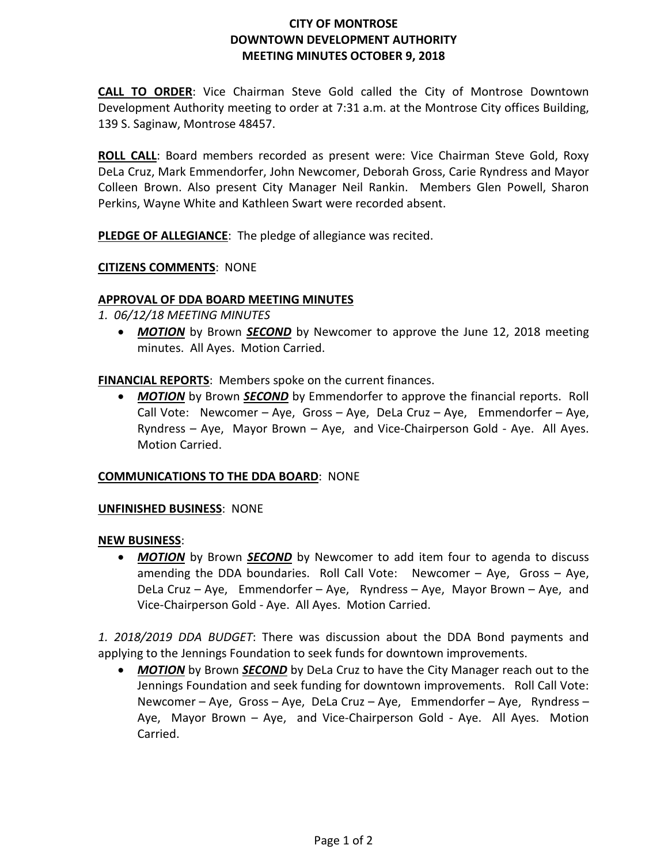# **CITY OF MONTROSE DOWNTOWN DEVELOPMENT AUTHORITY MEETING MINUTES OCTOBER 9, 2018**

**CALL TO ORDER**: Vice Chairman Steve Gold called the City of Montrose Downtown Development Authority meeting to order at 7:31 a.m. at the Montrose City offices Building, 139 S. Saginaw, Montrose 48457.

**ROLL CALL**: Board members recorded as present were: Vice Chairman Steve Gold, Roxy DeLa Cruz, Mark Emmendorfer, John Newcomer, Deborah Gross, Carie Ryndress and Mayor Colleen Brown. Also present City Manager Neil Rankin. Members Glen Powell, Sharon Perkins, Wayne White and Kathleen Swart were recorded absent.

**PLEDGE OF ALLEGIANCE**: The pledge of allegiance was recited.

**CITIZENS COMMENTS**: NONE

# **APPROVAL OF DDA BOARD MEETING MINUTES**

*1. 06/12/18 MEETING MINUTES*

• **MOTION** by Brown **SECOND** by Newcomer to approve the June 12, 2018 meeting minutes. All Ayes. Motion Carried.

**FINANCIAL REPORTS**: Members spoke on the current finances.

• *MOTION* by Brown *SECOND* by Emmendorfer to approve the financial reports. Roll Call Vote: Newcomer – Aye, Gross – Aye, DeLa Cruz – Aye, Emmendorfer – Aye, Ryndress – Aye, Mayor Brown – Aye, and Vice-Chairperson Gold - Aye. All Ayes. Motion Carried.

# **COMMUNICATIONS TO THE DDA BOARD**: NONE

#### **UNFINISHED BUSINESS**: NONE

#### **NEW BUSINESS**:

• **MOTION** by Brown **SECOND** by Newcomer to add item four to agenda to discuss amending the DDA boundaries. Roll Call Vote: Newcomer – Aye, Gross – Aye, DeLa Cruz – Aye, Emmendorfer – Aye, Ryndress – Aye, Mayor Brown – Aye, and Vice-Chairperson Gold - Aye. All Ayes. Motion Carried.

*1. 2018/2019 DDA BUDGET*: There was discussion about the DDA Bond payments and applying to the Jennings Foundation to seek funds for downtown improvements.

• *MOTION* by Brown *SECOND* by DeLa Cruz to have the City Manager reach out to the Jennings Foundation and seek funding for downtown improvements. Roll Call Vote: Newcomer – Aye, Gross – Aye, DeLa Cruz – Aye, Emmendorfer – Aye, Ryndress – Aye, Mayor Brown – Aye, and Vice-Chairperson Gold - Aye. All Ayes. Motion Carried.